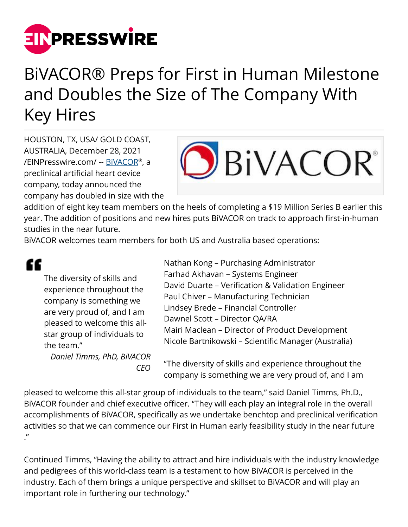

## BiVACOR® Preps for First in Human Milestone and Doubles the Size of The Company With Key Hires

HOUSTON, TX, USA/ GOLD COAST, AUSTRALIA, December 28, 2021 [/EINPresswire.com/](http://www.einpresswire.com) -- <u>[BiVACOR](https://bivacor.com/)</u>®, a preclinical artificial heart device company, today announced the company has doubled in size with the



addition of eight key team members on the heels of completing a \$19 Million Series B earlier this year. The addition of positions and new hires puts BiVACOR on track to approach first-in-human studies in the near future.

BiVACOR welcomes team members for both US and Australia based operations:

££ The diversity of skills and experience throughout the company is something we are very proud of, and I am pleased to welcome this allstar group of individuals to the team."

> *Daniel Timms, PhD, BiVACOR CEO*

Nathan Kong – Purchasing Administrator Farhad Akhavan – Systems Engineer David Duarte – Verification & Validation Engineer Paul Chiver – Manufacturing Technician Lindsey Brede – Financial Controller Dawnel Scott – Director QA/RA Mairi Maclean – Director of Product Development Nicole Bartnikowski – Scientific Manager (Australia)

"The diversity of skills and experience throughout the company is something we are very proud of, and I am

pleased to welcome this all-star group of individuals to the team," said Daniel Timms, Ph.D., BiVACOR founder and chief executive officer. "They will each play an integral role in the overall accomplishments of BiVACOR, specifically as we undertake benchtop and preclinical verification activities so that we can commence our First in Human early feasibility study in the near future ."

Continued Timms, "Having the ability to attract and hire individuals with the industry knowledge and pedigrees of this world-class team is a testament to how BiVACOR is perceived in the industry. Each of them brings a unique perspective and skillset to BiVACOR and will play an important role in furthering our technology."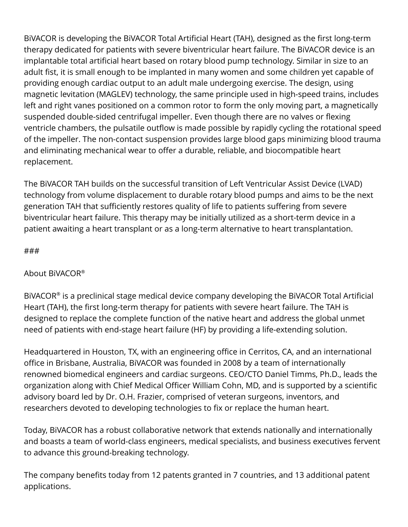BiVACOR is developing the BiVACOR Total Artificial Heart (TAH), designed as the first long-term therapy dedicated for patients with severe biventricular heart failure. The BiVACOR device is an implantable total artificial heart based on rotary blood pump technology. Similar in size to an adult fist, it is small enough to be implanted in many women and some children yet capable of providing enough cardiac output to an adult male undergoing exercise. The design, using magnetic levitation (MAGLEV) technology, the same principle used in high-speed trains, includes left and right vanes positioned on a common rotor to form the only moving part, a magnetically suspended double-sided centrifugal impeller. Even though there are no valves or flexing ventricle chambers, the pulsatile outflow is made possible by rapidly cycling the rotational speed of the impeller. The non-contact suspension provides large blood gaps minimizing blood trauma and eliminating mechanical wear to offer a durable, reliable, and biocompatible heart replacement.

The BiVACOR TAH builds on the successful transition of Left Ventricular Assist Device (LVAD) technology from volume displacement to durable rotary blood pumps and aims to be the next generation TAH that sufficiently restores quality of life to patients suffering from severe biventricular heart failure. This therapy may be initially utilized as a short-term device in a patient awaiting a heart transplant or as a long-term alternative to heart transplantation.

## ###

## About BiVACOR®

BiVACOR® is a preclinical stage medical device company developing the BiVACOR Total Artificial Heart (TAH), the first long-term therapy for patients with severe heart failure. The TAH is designed to replace the complete function of the native heart and address the global unmet need of patients with end-stage heart failure (HF) by providing a life-extending solution.

Headquartered in Houston, TX, with an engineering office in Cerritos, CA, and an international office in Brisbane, Australia, BiVACOR was founded in 2008 by a team of internationally renowned biomedical engineers and cardiac surgeons. CEO/CTO Daniel Timms, Ph.D., leads the organization along with Chief Medical Officer William Cohn, MD, and is supported by a scientific advisory board led by Dr. O.H. Frazier, comprised of veteran surgeons, inventors, and researchers devoted to developing technologies to fix or replace the human heart.

Today, BiVACOR has a robust collaborative network that extends nationally and internationally and boasts a team of world-class engineers, medical specialists, and business executives fervent to advance this ground-breaking technology.

The company benefits today from 12 patents granted in 7 countries, and 13 additional patent applications.